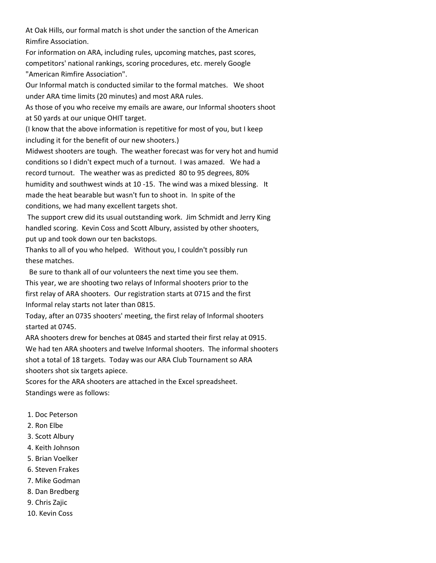At Oak Hills, our formal match is shot under the sanction of the American Rimfire Association.

For information on ARA, including rules, upcoming matches, past scores, competitors' national rankings, scoring procedures, etc. merely Google "American Rimfire Association".

Our Informal match is conducted similar to the formal matches. We shoot under ARA time limits (20 minutes) and most ARA rules.

As those of you who receive my emails are aware, our Informal shooters shoot at 50 yards at our unique OHIT target.

(I know that the above information is repetitive for most of you, but I keep including it for the benefit of our new shooters.)

Midwest shooters are tough. The weather forecast was for very hot and humid conditions so I didn't expect much of a turnout. I was amazed. We had a record turnout. The weather was as predicted 80 to 95 degrees, 80% humidity and southwest winds at 10 -15. The wind was a mixed blessing. It made the heat bearable but wasn't fun to shoot in. In spite of the conditions, we had many excellent targets shot.

The support crew did its usual outstanding work. Jim Schmidt and Jerry King handled scoring. Kevin Coss and Scott Albury, assisted by other shooters, put up and took down our ten backstops.

Thanks to all of you who helped. Without you, I couldn't possibly run these matches.

Be sure to thank all of our volunteers the next time you see them.

This year, we are shooting two relays of Informal shooters prior to the first relay of ARA shooters. Our registration starts at 0715 and the first Informal relay starts not later than 0815.

Today, after an 0735 shooters' meeting, the first relay of Informal shooters started at 0745.

ARA shooters drew for benches at 0845 and started their first relay at 0915. We had ten ARA shooters and twelve Informal shooters. The informal shooters shot a total of 18 targets. Today was our ARA Club Tournament so ARA shooters shot six targets apiece.

Scores for the ARA shooters are attached in the Excel spreadsheet. Standings were as follows:

- 1. Doc Peterson
- 2. Ron Elbe
- 3. Scott Albury
- 4. Keith Johnson
- 5. Brian Voelker
- 6. Steven Frakes
- 7. Mike Godman
- 8. Dan Bredberg
- 9. Chris Zajic
- 10. Kevin Coss